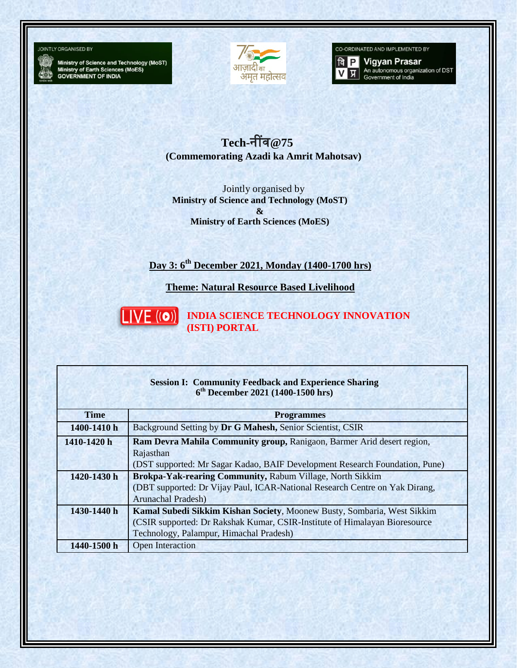

Ministry of Science and Technology (MoST)<br>Ministry of Earth Sciences (MoES)<br>GOVERNMENT OF INDIA



CO-ORDINATED AND IMPLEMENTED BY



**वि P** Vigyan Prasar An autonomous organization of DST<br>Government of India

**Tech-**नींव**@75 (Commemorating Azadi ka Amrit Mahotsav)**

Jointly organised by **Ministry of Science and Technology (MoST) & Ministry of Earth Sciences (MoES)**

## **Day 3: 6th December 2021, Monday (1400-1700 hrs)**

**Theme: Natural Resource Based Livelihood**



**INDIA SCIENCE TECHNOLOGY INNOVATION (ISTI) PORTAL**

| <b>Session I: Community Feedback and Experience Sharing</b><br>$6th December 2021 (1400-1500 hrs)$ |                                                                                                                                                                                                   |  |
|----------------------------------------------------------------------------------------------------|---------------------------------------------------------------------------------------------------------------------------------------------------------------------------------------------------|--|
| <b>Time</b>                                                                                        | <b>Programmes</b>                                                                                                                                                                                 |  |
| 1400-1410 h                                                                                        | Background Setting by Dr G Mahesh, Senior Scientist, CSIR                                                                                                                                         |  |
| 1410-1420 h                                                                                        | Ram Devra Mahila Community group, Ranigaon, Barmer Arid desert region,<br>Rajasthan<br>(DST supported: Mr Sagar Kadao, BAIF Development Research Foundation, Pune)                                |  |
| 1420-1430 h                                                                                        | Brokpa-Yak-rearing Community, Rabum Village, North Sikkim<br>(DBT supported: Dr Vijay Paul, ICAR-National Research Centre on Yak Dirang,<br><b>Arunachal Pradesh)</b>                             |  |
| 1430-1440 h                                                                                        | Kamal Subedi Sikkim Kishan Society, Moonew Busty, Sombaria, West Sikkim<br>(CSIR supported: Dr Rakshak Kumar, CSIR-Institute of Himalayan Bioresource)<br>Technology, Palampur, Himachal Pradesh) |  |
| 1440-1500 h                                                                                        | Open Interaction                                                                                                                                                                                  |  |